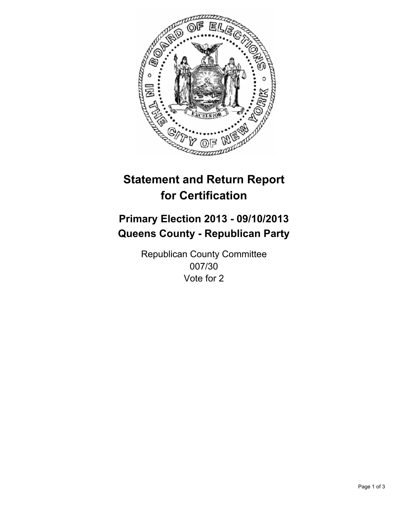

# **Statement and Return Report for Certification**

# **Primary Election 2013 - 09/10/2013 Queens County - Republican Party**

Republican County Committee 007/30 Vote for 2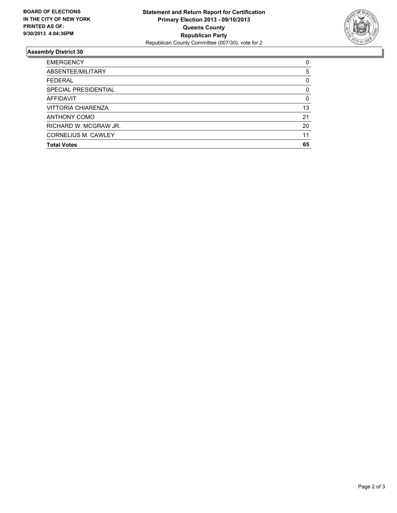

## **Assembly District 30**

| 0        |
|----------|
| 5        |
| 0        |
| 0        |
| $\Omega$ |
| 13       |
| 21       |
| 20       |
| 11       |
| 65       |
|          |